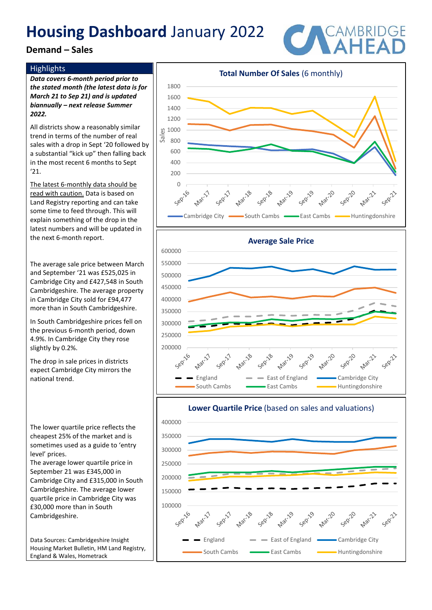## **Demand – Sales**

### **Highlights**

*Data covers 6-month period prior to the stated month (the latest data is for March 21 to Sep 21) and is updated biannually – next release Summer 2022.*

All districts show a reasonably similar trend in terms of the number of real sales with a drop in Sept '20 followed by a substantial "kick up" then falling back in the most recent 6 months to Sept '21.

The latest 6-monthly data should be read with caution. Data is based on Land Registry reporting and can take some time to feed through. This will explain something of the drop in the latest numbers and will be updated in the next 6-month report.

The average sale price between March and September '21 was £525,025 in Cambridge City and £427,548 in South Cambridgeshire. The average property in Cambridge City sold for £94,477 more than in South Cambridgeshire.

In South Cambridgeshire prices fell on the previous 6-month period, down 4.9%. In Cambridge City they rose slightly by 0.2%.

The drop in sale prices in districts expect Cambridge City mirrors the national trend.

The lower quartile price reflects the cheapest 25% of the market and is sometimes used as a guide to 'entry level' prices.

The average lower quartile price in September 21 was £345,000 in Cambridge City and £315,000 in South Cambridgeshire. The average lower quartile price in Cambridge City was £30,000 more than in South Cambridgeshire.

Data Sources: Cambridgeshire Insight Housing Market Bulletin, HM Land Registry, England & Wales, Hometrack





England  $\longrightarrow$  East of England  $\longrightarrow$  Cambridge City South Cambs **East Cambs** East Cambs Huntingdonshire



**Total Number Of Sales** (6 monthly)

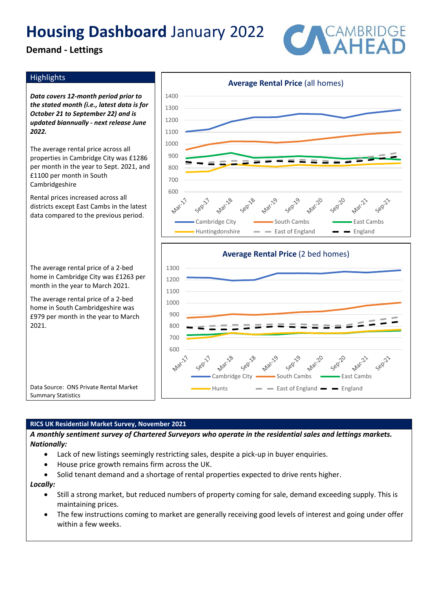**Demand - Lettings**



### **Highlights**

*Data covers 12-month period prior to the stated month (i.e., latest data is for October 21 to September 22) and is updated biannually - next release June 2022.*

The average rental price across all properties in Cambridge City was £1286 per month in the year to Sept. 2021, and £1100 per month in South Cambridgeshire

Rental prices increased across all districts except East Cambs in the latest data compared to the previous period.

The average rental price of a 2-bed home in Cambridge City was £1263 per month in the year to March 2021.

The average rental price of a 2-bed home in South Cambridgeshire was £979 per month in the year to March 2021.





Data Source: ONS Private Rental Market Summary Statistics

#### **RICS UK Residential Market Survey, November 2021**

*A monthly sentiment survey of Chartered Surveyors who operate in the residential sales and lettings markets. Nationally:*

- Lack of new listings seemingly restricting sales, despite a pick-up in buyer enquiries.
- House price growth remains firm across the UK.
- Solid tenant demand and a shortage of rental properties expected to drive rents higher.

#### *Locally:*

- Still a strong market, but reduced numbers of property coming for sale, demand exceeding supply. This is maintaining prices.
- The few instructions coming to market are generally receiving good levels of interest and going under offer within a few weeks.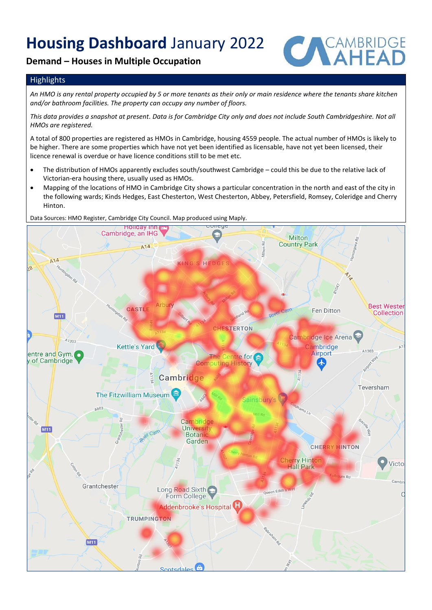## **Demand – Houses in Multiple Occupation**



### **Highlights**

*An HMO is any rental property occupied by 5 or more tenants as their only or main residence where the tenants share kitchen and/or bathroom facilities. The property can occupy any number of floors.* 

*This data provides a snapshot at present. Data is for Cambridge City only and does not include South Cambridgeshire. Not all HMOs are registered.* 

A total of 800 properties are registered as HMOs in Cambridge, housing 4559 people. The actual number of HMOs is likely to be higher. There are some properties which have not yet been identified as licensable, have not yet been licensed, their licence renewal is overdue or have licence conditions still to be met etc.

- The distribution of HMOs apparently excludes south/southwest Cambridge could this be due to the relative lack of Victorian-era housing there, usually used as HMOs.
- Mapping of the locations of HMO in Cambridge City shows a particular concentration in the north and east of the city in the following wards; Kinds Hedges, East Chesterton, West Chesterton, Abbey, Petersfield, Romsey, Coleridge and Cherry Hinton.

Data Sources: HMO Register, Cambridge City Council. Map produced using Maply.

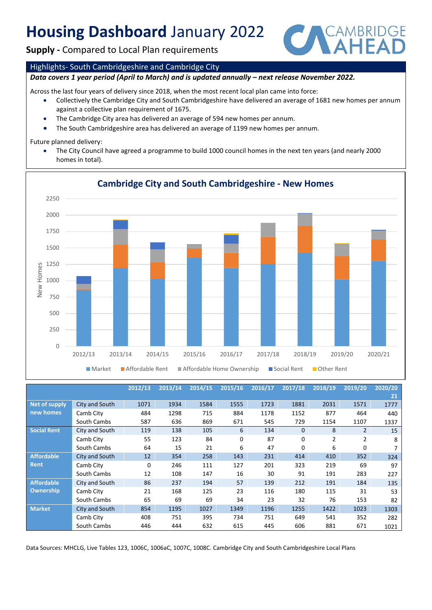**Supply -** Compared to Local Plan requirements



#### Highlights- South Cambridgeshire and Cambridge City

#### *Data covers 1 year period (April to March) and is updated annually – next release November 2022.*

Across the last four years of delivery since 2018, when the most recent local plan came into force:

- Collectively the Cambridge City and South Cambridgeshire have delivered an average of 1681 new homes per annum against a collective plan requirement of 1675.
- The Cambridge City area has delivered an average of 594 new homes per annum.
- The South Cambridgeshire area has delivered an average of 1199 new homes per annum.

#### Future planned delivery:

• The City Council have agreed a programme to build 1000 council homes in the next ten years (and nearly 2000 homes in total).



## **Cambridge City and South Cambridgeshire - New Homes**

|                    |                | 2012/13 | 2013/14 | 2014/15 | 2015/16 | 2016/17 | 2017/18      | 2018/19        | 2019/20        | 2020/20 |
|--------------------|----------------|---------|---------|---------|---------|---------|--------------|----------------|----------------|---------|
|                    |                |         |         |         |         |         |              |                |                | 21      |
| Net of supply      | City and South | 1071    | 1934    | 1584    | 1555    | 1723    | 1881         | 2031           | 1571           | 1777    |
| new homes          | Camb City      | 484     | 1298    | 715     | 884     | 1178    | 1152         | 877            | 464            | 440     |
|                    | South Cambs    | 587     | 636     | 869     | 671     | 545     | 729          | 1154           | 1107           | 1337    |
| <b>Social Rent</b> | City and South | 119     | 138     | 105     | 6       | 134     | $\mathbf{0}$ | 8              | $\overline{2}$ | 15      |
|                    | Camb City      | 55      | 123     | 84      | 0       | 87      | 0            | $\overline{2}$ | 2              | 8       |
|                    | South Cambs    | 64      | 15      | 21      | 6       | 47      | $\Omega$     | 6              | 0              | 7       |
| <b>Affordable</b>  | City and South | 12      | 354     | 258     | 143     | 231     | 414          | 410            | 352            | 324     |
| Rent               | Camb City      | 0       | 246     | 111     | 127     | 201     | 323          | 219            | 69             | 97      |
|                    | South Cambs    | 12      | 108     | 147     | 16      | 30      | 91           | 191            | 283            | 227     |
| <b>Affordable</b>  | City and South | 86      | 237     | 194     | 57      | 139     | 212          | 191            | 184            | 135     |
| Ownership          | Camb City      | 21      | 168     | 125     | 23      | 116     | 180          | 115            | 31             | 53      |
|                    | South Cambs    | 65      | 69      | 69      | 34      | 23      | 32           | 76             | 153            | 82      |
| <b>Market</b>      | City and South | 854     | 1195    | 1027    | 1349    | 1196    | 1255         | 1422           | 1023           | 1303    |
|                    | Camb City      | 408     | 751     | 395     | 734     | 751     | 649          | 541            | 352            | 282     |
|                    | South Cambs    | 446     | 444     | 632     | 615     | 445     | 606          | 881            | 671            | 1021    |

Data Sources: MHCLG, Live Tables 123, 1006C, 1006aC, 1007C, 1008C. Cambridge City and South Cambridgeshire Local Plans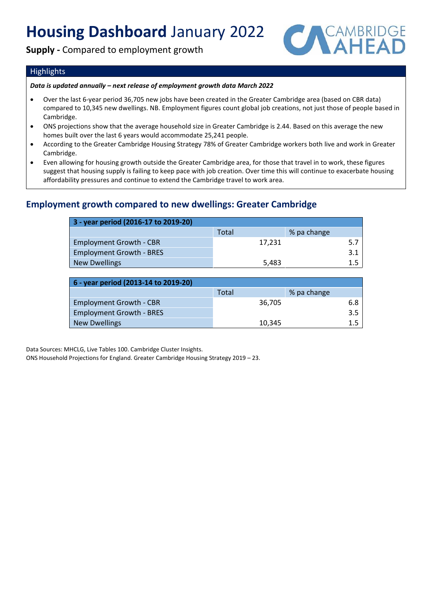## **Supply -** Compared to employment growth



### Highlights

#### *Data is updated annually – next release of employment growth data March 2022*

- Over the last 6-year period 36,705 new jobs have been created in the Greater Cambridge area (based on CBR data) compared to 10,345 new dwellings. NB. Employment figures count global job creations, not just those of people based in Cambridge.
- ONS projections show that the average household size in Greater Cambridge is 2.44. Based on this average the new homes built over the last 6 years would accommodate 25,241 people.
- According to the Greater Cambridge Housing Strategy 78% of Greater Cambridge workers both live and work in Greater Cambridge.
- Even allowing for housing growth outside the Greater Cambridge area, for those that travel in to work, these figures suggest that housing supply is failing to keep pace with job creation. Over time this will continue to exacerbate housing affordability pressures and continue to extend the Cambridge travel to work area.

## **Employment growth compared to new dwellings: Greater Cambridge**

| 3 - year period (2016-17 to 2019-20) |        |             |  |  |  |  |  |  |
|--------------------------------------|--------|-------------|--|--|--|--|--|--|
|                                      | Total  | % pa change |  |  |  |  |  |  |
| <b>Employment Growth - CBR</b>       | 17,231 | 5.7         |  |  |  |  |  |  |
| <b>Employment Growth - BRES</b>      |        | 3.1         |  |  |  |  |  |  |
| <b>New Dwellings</b>                 | 5,483  | 1.5         |  |  |  |  |  |  |

| 6 - year period (2013-14 to 2019-20) |        |             |  |  |  |  |  |  |
|--------------------------------------|--------|-------------|--|--|--|--|--|--|
|                                      | Total  | % pa change |  |  |  |  |  |  |
| <b>Employment Growth - CBR</b>       | 36.705 | 6.8         |  |  |  |  |  |  |
| <b>Employment Growth - BRES</b>      |        | 3.5         |  |  |  |  |  |  |
| New Dwellings                        | 10.345 |             |  |  |  |  |  |  |

Data Sources: MHCLG, Live Tables 100. Cambridge Cluster Insights.

ONS Household Projections for England. Greater Cambridge Housing Strategy 2019 – 23.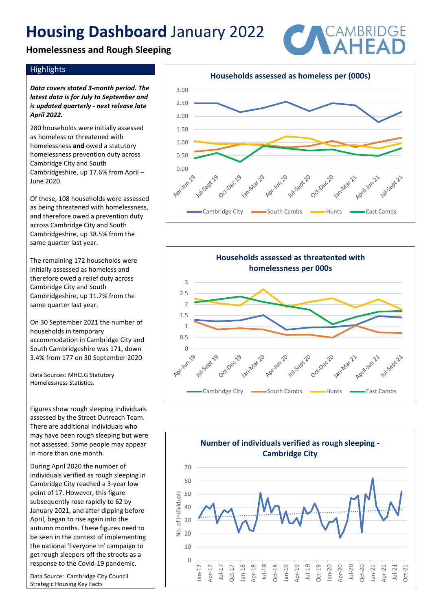## **Homelessness and Rough Sleeping**



### **Highlights**

*Data covers stated 3-month period. The latest data is for July to September and is updated quarterly - next release late April 2022.*

280 households were initially assessed as homeless or threatened with homelessness **and** owed a statutory homelessness prevention duty across Cambridge City and South Cambridgeshire, up 17.6% from April – June 2020.

Of these, 108 households were assessed as being threatened with homelessness, and therefore owed a prevention duty across Cambridge City and South Cambridgeshire, up 38.5% from the same quarter last year.

The remaining 172 households were initially assessed as homeless and therefore owed a relief duty across Cambridge City and South Cambridgeshire, up 11.7% from the same quarter last year.

On 30 September 2021 the number of households in temporary accommodation in Cambridge City and South Cambridgeshire was 171, down 3.4% from 177 on 30 September 2020

Data Sources: MHCLG Statutory Homelessness Statistics.

Figures show rough sleeping individuals assessed by the Street Outreach Team. There are additional individuals who may have been rough sleeping but were not assessed. Some people may appear in more than one month.

During April 2020 the number of individuals verified as rough sleeping in Cambridge City reached a 3-year low point of 17. However, this figure subsequently rose rapidly to 62 by January 2021, and after dipping before April, began to rise again into the autumn months. These figures need to be seen in the context of implementing the national 'Everyone In' campaign to get rough sleepers off the streets as a response to the Covid-19 pandemic.

Data Source: Cambridge City Council Strategic Housing Key Facts